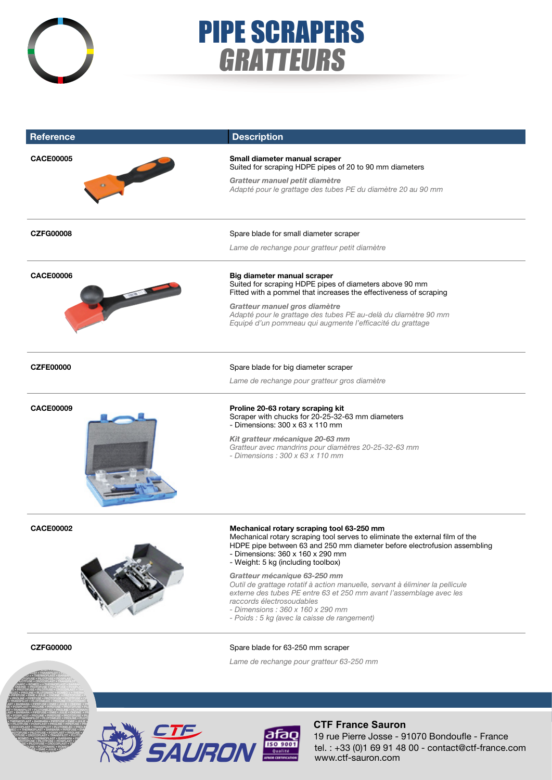

**E** • PROTOFUSE • PILOTFUSE • CROCOPLAST • TRANSPILOTED **RE ELEC • PROLINE • PLUTONARC • ROMEO + • THERMOPLAST •** FARBARA • PIPEFUSE • EMIE • JULIE • ONDINE • PROTOFUSE • P.<br>In • Proline • Pipefuse • Protofuse • pilotfuse • crocop • TRANSPILOT • PLUTONELEC • PROLINE • PLUTONARC • ROMEO + LAST • BARBARA • PIPEFUSE • EMIE • JULIE • ONDINE • PROTO SE • POSIPLAST • PROLINE • PIPEFUSE • PROTOFUSE • PIL<br>AST • TRANSPILOT • PLUTONELEC • PROLINE • PLUTONARC • ROMEO LAST • BARBARA • PIPEFUSE • EMIE • JULIE • ONDINE • PROTOFICE

# PIPE SCRAPERS GRATTEURS

| <b>Reference</b>                      | <b>Description</b>                                                                                                                                                                                                                                                                                   |
|---------------------------------------|------------------------------------------------------------------------------------------------------------------------------------------------------------------------------------------------------------------------------------------------------------------------------------------------------|
| <b>CACE00005</b><br><b>CONTRACTOR</b> | Small diameter manual scraper<br>Suited for scraping HDPE pipes of 20 to 90 mm diameters                                                                                                                                                                                                             |
|                                       | Gratteur manuel petit diamètre<br>Adapté pour le grattage des tubes PE du diamètre 20 au 90 mm                                                                                                                                                                                                       |
| <b>CZFG00008</b>                      | Spare blade for small diameter scraper                                                                                                                                                                                                                                                               |
|                                       | Lame de rechange pour gratteur petit diamètre                                                                                                                                                                                                                                                        |
| <b>CACE00006</b>                      | Big diameter manual scraper<br>Suited for scraping HDPE pipes of diameters above 90 mm<br>Fitted with a pommel that increases the effectiveness of scraping                                                                                                                                          |
|                                       | Gratteur manuel gros diamètre<br>Adapté pour le grattage des tubes PE au-delà du diamètre 90 mm<br>Equipé d'un pommeau qui augmente l'efficacité du grattage                                                                                                                                         |
| <b>CZFE00000</b>                      | Spare blade for big diameter scraper                                                                                                                                                                                                                                                                 |
|                                       | Lame de rechange pour gratteur gros diamètre                                                                                                                                                                                                                                                         |
| <b>CACE00009</b>                      | Proline 20-63 rotary scraping kit<br>Scraper with chucks for 20-25-32-63 mm diameters<br>- Dimensions: $300 \times 63 \times 110$ mm                                                                                                                                                                 |
|                                       | Kit gratteur mécanique 20-63 mm<br>Gratteur avec mandrins pour diamètres 20-25-32-63 mm<br>- Dimensions: $300 \times 63 \times 110$ mm                                                                                                                                                               |
| <b>CACE00002</b>                      | Mechanical rotary scraping tool 63-250 mm<br>Mechanical rotary scraping tool serves to eliminate the external film of the<br>HDPE pipe between 63 and 250 mm diameter before electrofusion assembling<br>- Dimensions: 360 x 160 x 290 mm<br>- Weight: 5 kg (including toolbox)                      |
|                                       | Gratteur mécanique 63-250 mm<br>Outil de grattage rotatif à action manuelle, servant à éliminer la pellicule<br>externe des tubes PE entre 63 et 250 mm avant l'assemblage avec les<br>raccords électrosoudables<br>- Dimensions: 360 x 160 x 290 mm<br>- Poids : 5 kg (avec la caisse de rangement) |
| <b>CZFG00000</b>                      | Spare blade for 63-250 mm scraper                                                                                                                                                                                                                                                                    |
|                                       | Lame de rechange pour gratteur 63-250 mm                                                                                                                                                                                                                                                             |



## **CTF France Sauron**

tel. : +33 (0)1 69 91 48 00 - contact@ctf-france.com www.ctf-sauron.com 19 rue Pierre Josse - 91070 Bondoufle - France